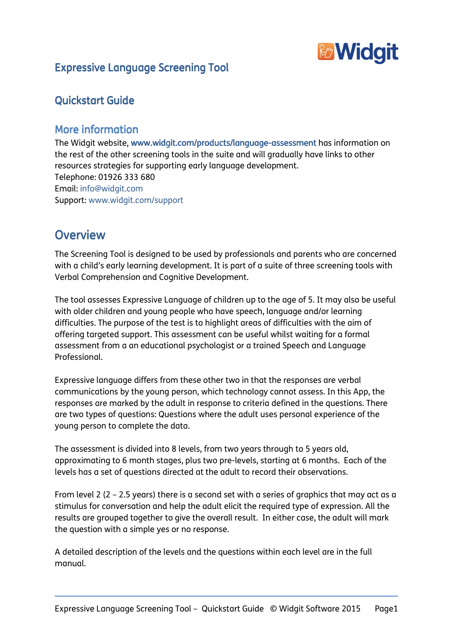

# Expressive Language Screening Tool

# Quickstart Guide

## More information

The Widgit website, www.widgit.com/products/language-assessment has information on the rest of the other screening tools in the suite and will gradually have links to other resources strategies for supporting early language development. Telephone: 01926 333 680 Email: info@widgit.com Support: www.widgit.com/support

# **Overview**

The Screening Tool is designed to be used by professionals and parents who are concerned with a child's early learning development. It is part of a suite of three screening tools with Verbal Comprehension and Cognitive Development.

The tool assesses Expressive Language of children up to the age of 5. It may also be useful with older children and young people who have speech, language and/or learning difficulties. The purpose of the test is to highlight areas of difficulties with the aim of offering targeted support. This assessment can be useful whilst waiting for a formal assessment from a an educational psychologist or a trained Speech and Language Professional.

Expressive language differs from these other two in that the responses are verbal communications by the young person, which technology cannot assess. In this App, the responses are marked by the adult in response to criteria defined in the questions. There are two types of questions: Questions where the adult uses personal experience of the young person to complete the data.

The assessment is divided into 8 levels, from two years through to 5 years old, approximating to 6 month stages, plus two pre-levels, starting at 6 months. Each of the levels has a set of questions directed at the adult to record their observations.

From level 2 (2 – 2.5 years) there is a second set with a series of graphics that may act as a stimulus for conversation and help the adult elicit the required type of expression. All the results are grouped together to give the overall result. In either case, the adult will mark the question with a simple yes or no response.

A detailed description of the levels and the questions within each level are in the full manual.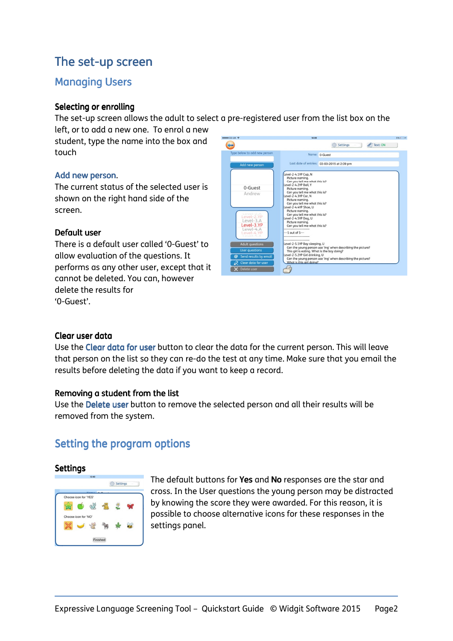# The set-up screen

## **Managing Users**

#### Selecting or enrolling

The set-up screen allows the adult to select a pre-registered user from the list box on the

left, or to add a new one. To enrol a new student, type the name into the box and touch

## Add new person.

The current status of the selected user is shown on the right hand side of the screen.

## Default user

There is a default user called '0-Guest' to allow evaluation of the questions. It performs as any other user, except that it cannot be deleted. You can, however delete the results for '0-Guest'.

| ***** 02-UK 学                                                                 | 14:09                                                                                                                                                                                                                                                                                                                                                                                      | $5\%$ $\rightarrow$ $*$ |  |
|-------------------------------------------------------------------------------|--------------------------------------------------------------------------------------------------------------------------------------------------------------------------------------------------------------------------------------------------------------------------------------------------------------------------------------------------------------------------------------------|-------------------------|--|
|                                                                               | Text: ON<br>Settings                                                                                                                                                                                                                                                                                                                                                                       |                         |  |
| Type below to add new person                                                  | Name: 0-Guest                                                                                                                                                                                                                                                                                                                                                                              |                         |  |
| Add new person                                                                | Last date of entries: 03-03-2015 at 2:09 pm                                                                                                                                                                                                                                                                                                                                                |                         |  |
| 0-Guest<br>Andrew<br>Level-2.YP<br>Level-3.A<br>Level-3.YP                    | Level-2-4.1YP Cup, N<br>Picture naming.<br>Can you tell me what this is?<br>Level-2-4.2YP Ball, Y<br>Picture naming.<br>Can you tell me what this is?<br>Level-2-4.3YP Car, N<br>Picture naming.<br>Can you tell me what this is?<br>Level-2-4.4YP Shoe, U<br>Picture naming.<br>Can you tell me what this is?<br>Level-2-4.5YP Dog, U<br>Picture naming.<br>Can you tell me what this is? |                         |  |
| Level-4.A<br>$ $ evel-4 YP<br>$Avol-S, A$                                     | ----------------<br>$-1$ out of 5 $-$<br>-------------------<br><br>Level-2-5.1YP Boy sleeping, U<br>Can the young person use 'ing' when describing the picture?<br>This girl is eating. What is the boy doing?<br>Level-2-5.2YP Girl drinking, U                                                                                                                                          |                         |  |
| <b>Adult questions</b><br><b>User questions</b><br>Send results by email<br>@ |                                                                                                                                                                                                                                                                                                                                                                                            |                         |  |
| Clear data for user                                                           | Can the young person use 'ing' when describing the picture?<br>What is this airl doing?                                                                                                                                                                                                                                                                                                    |                         |  |
| <b>Delete user</b>                                                            |                                                                                                                                                                                                                                                                                                                                                                                            |                         |  |

#### Clear user data

Use the Clear data for user button to clear the data for the current person. This will leave that person on the list so they can re-do the test at any time. Make sure that you email the results before deleting the data if you want to keep a record.

## Removing a student from the list

Use the Delete user button to remove the selected person and all their results will be removed from the system.

# Setting the program options

#### Settings



The default buttons for Yes and No responses are the star and cross. In the User questions the young person may be distracted by knowing the score they were awarded. For this reason, it is possible to choose alternative icons for these responses in the settings panel.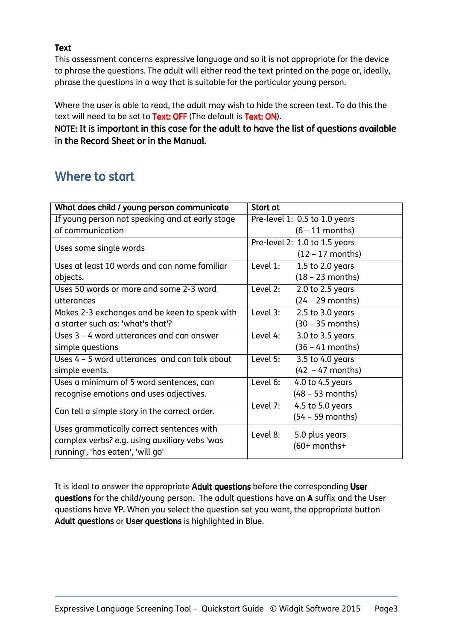## Text

This assessment concerns expressive language and so it is not appropriate for the device to phrase the questions. The adult will either read the text printed on the page or, ideally, phrase the questions in a way that is suitable for the particular young person.

Where the user is able to read, the adult may wish to hide the screen text. To do this the text will need to be set to Text: OFF (The default is Text: ON).

NOTE: It is important in this case for the adult to have the list of questions available in the Record Sheet or in the Manual.

# Where to start

| What does child / young person communicate      | Start at                         |
|-------------------------------------------------|----------------------------------|
| If young person not speaking and at early stage | Pre-level 1: 0.5 to 1.0 years    |
| of communication                                | $(6 - 11$ months)                |
| Uses some single words                          | Pre-level 2: 1.0 to 1.5 years    |
|                                                 | $(12 - 17$ months)               |
| Uses at least 10 words and can name familiar    | Level 1:<br>1.5 to 2.0 years     |
| objects.                                        | $(18 - 23$ months)               |
| Uses 50 words or more and some 2-3 word         | Level 2:<br>$2.0$ to $2.5$ years |
| utterances                                      | $(24 - 29$ months)               |
| Makes 2-3 exchanges and be keen to speak with   | Level 3:<br>$2.5$ to $3.0$ years |
| a starter such as: 'what's that'?               | $(30 - 35$ months)               |
| Uses 3 - 4 word utterances and can answer       | Level 4:<br>3.0 to 3.5 years     |
| simple questions                                | $(36 - 41$ months)               |
| Uses 4 - 5 word utterances and can talk about   | Level 5:<br>3.5 to 4.0 years     |
| simple events.                                  | $(42 - 47$ months)               |
| Uses a minimum of 5 word sentences, can         | Level 6:<br>4.0 to 4.5 years     |
| recognise emotions and uses adjectives.         | $(48 - 53$ months)               |
| Can tell a simple story in the correct order.   | Level 7:<br>4.5 to 5.0 years     |
|                                                 | $(54 - 59$ months)               |
| Uses grammatically correct sentences with       | Level 8:<br>5.0 plus years       |
| complex verbs? e.g. using auxiliary vebs 'was   | $(60+$ months+                   |
| running', 'has eaten', 'will go'                |                                  |

It is ideal to answer the appropriate Adult questions before the corresponding User questions for the child/young person. The adult questions have an A suffix and the User questions have YP. When you select the question set you want, the appropriate button Adult questions or User questions is highlighted in Blue.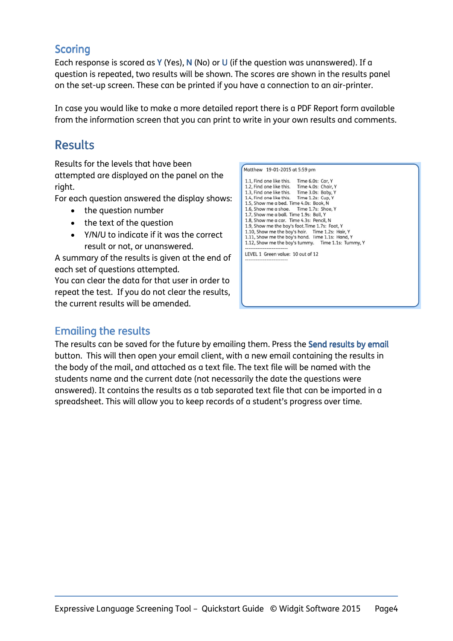## **Scoring**

Each response is scored as Y (Yes), N (No) or U (if the question was unanswered). If a question is repeated, two results will be shown. The scores are shown in the results panel on the set-up screen. These can be printed if you have a connection to an air-printer.

In case you would like to make a more detailed report there is a PDF Report form available from the information screen that you can print to write in your own results and comments.

# **Results**

Results for the levels that have been attempted are displayed on the panel on the right.

For each question answered the display shows:

- the question number
- the text of the question
- Y/N/U to indicate if it was the correct result or not, or unanswered.

A summary of the results is given at the end of each set of questions attempted.

You can clear the data for that user in order to repeat the test. If you do not clear the results, the current results will be amended.

| Matthew 19-01-2015 at 5:59 pm                                                                                                                                                                                                                                                                                                                                                                                                                                                                                                                                                        |  |
|--------------------------------------------------------------------------------------------------------------------------------------------------------------------------------------------------------------------------------------------------------------------------------------------------------------------------------------------------------------------------------------------------------------------------------------------------------------------------------------------------------------------------------------------------------------------------------------|--|
| 1.1, Find one like this. Time 6.0s: Car, Y<br>1.2, Find one like this. Time 4.0s: Chair, Y<br>1.3, Find one like this. Time 3.0s: Baby, Y<br>1.4, Find one like this. Time 1.2s: Cup, Y<br>1.5, Show me a bed. Time 4.0s: Book, N<br>1.6, Show me a shoe. Time 1.7s: Shoe. Y<br>1.7, Show me a ball. Time 1.9s: Ball, Y<br>1.8, Show me a car. Time 4.3s: Pencil, N<br>1.9, Show me the boy's foot. Time 1.7s: Foot, Y<br>1.10, Show me the boy's hair. Time 1.2s: Hair, Y<br>1.11, Show me the boy's hand. Time 1.1s: Hand, Y<br>1.12, Show me the boy's tummy. Time 1.1s: Tummy, Y |  |
| LEVEL 1 Green value: 10 out of 12<br>--------------------                                                                                                                                                                                                                                                                                                                                                                                                                                                                                                                            |  |

# Emailing the results

The results can be saved for the future by emailing them. Press the Send results by email button. This will then open your email client, with a new email containing the results in the body of the mail, and attached as a text file. The text file will be named with the students name and the current date (not necessarily the date the questions were answered). It contains the results as a tab separated text file that can be imported in a spreadsheet. This will allow you to keep records of a student's progress over time.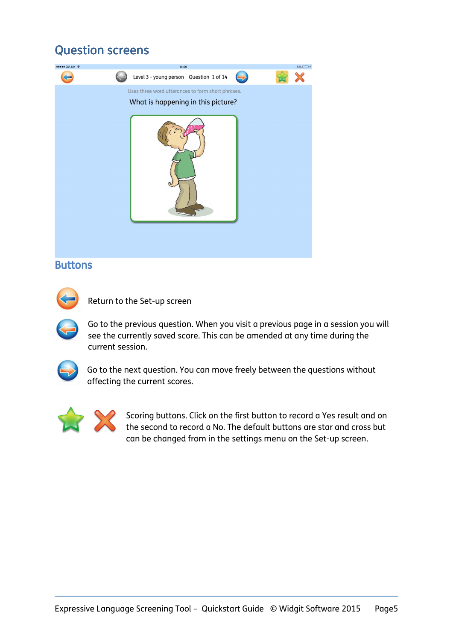# **Question screens**



## **Buttons**

Return to the Set-up screen

Go to the previous question. When you visit a previous page in a session you will see the currently saved score. This can be amended at any time during the current session.



Go to the next question. You can move freely between the questions without affecting the current scores.



Scoring buttons. Click on the first button to record a Yes result and on the second to record a No. The default buttons are star and cross but can be changed from in the settings menu on the Set-up screen.